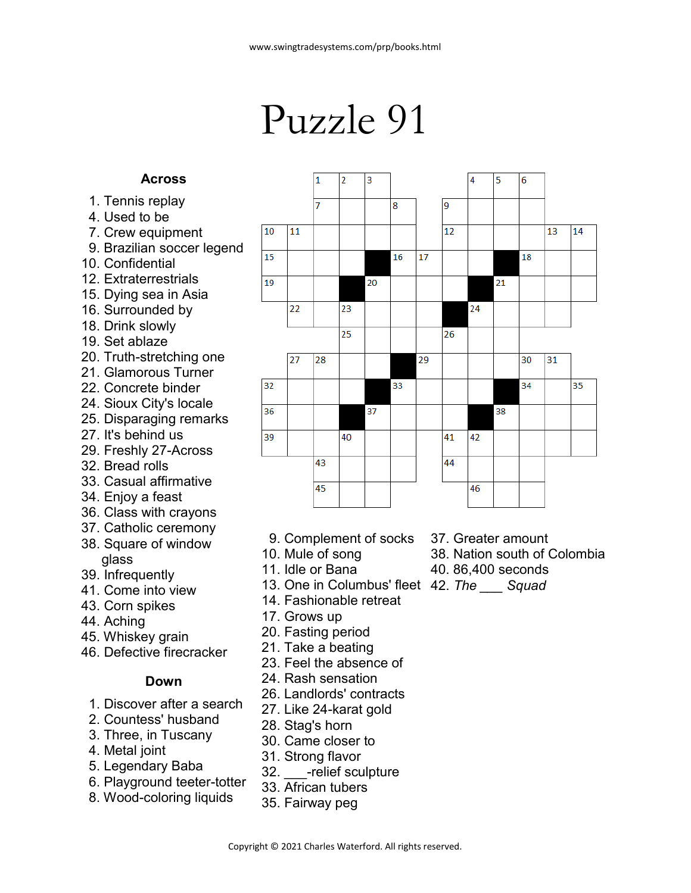## Puzzle 91

## **Across**

- 1. Tennis replay
- 4. Used to be
- 7. Crew equipment
- 9. Brazilian soccer legend
- 10. Confidential
- 12. Extraterrestrials
- 15. Dying sea in Asia
- 16. Surrounded by
- 18. Drink slowly
- 19. Set ablaze
- 20. Truth-stretching one
- 21. Glamorous Turner
- 22. Concrete binder
- 24. Sioux City's locale
- 25. Disparaging remarks
- 27. It's behind us
- 29. Freshly 27-Across
- 32. Bread rolls
- 33. Casual affirmative
- 34. Enjoy a feast
- 36. Class with crayons
- 37. Catholic ceremony
- 38. Square of window glass
- 39. Infrequently
- 41. Come into view
- 43. Corn spikes
- 44. Aching
- 45. Whiskey grain
- 46. Defective firecracker

## **Down**

- 1. Discover after a search
- 2. Countess' husband
- 3. Three, in Tuscany
- 4. Metal joint
- 5. Legendary Baba
- 6. Playground teeter-totter
- 8. Wood-coloring liquids
- 9. Complement of socks
- 10. Mule of song
- 11. Idle or Bana
- 42. *The \_\_\_ Squad* 13. One in Columbus' fleet
- 14. Fashionable retreat
- 17. Grows up
- 20. Fasting period
- 21. Take a beating
- 23. Feel the absence of
- 24. Rash sensation
- 26. Landlords' contracts
- 27. Like 24-karat gold
- 28. Stag's horn
- 30. Came closer to
- 31. Strong flavor
- 32. relief sculpture
- 33. African tubers
- 35. Fairway peg
- 37. Greater amount
- 38. Nation south of Colombia
- 40. 86,400 seconds
- 

Copyright © 2021 Charles Waterford. All rights reserved.